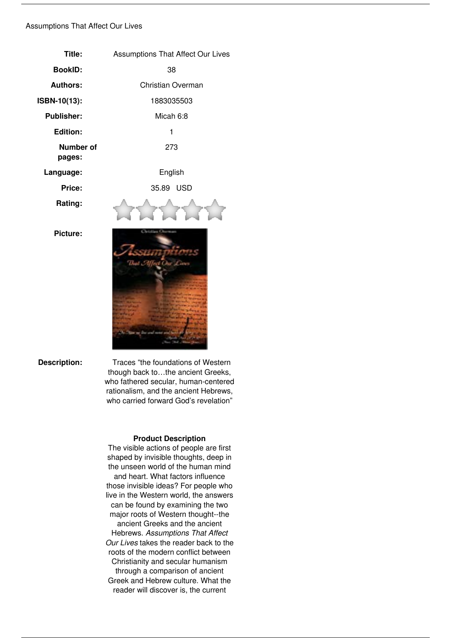## *Assumptions That Affect Our Lives*

| Title:                     | <b>Assumptions That Affect Our Lives</b> |
|----------------------------|------------------------------------------|
| <b>BookID:</b>             | 38                                       |
| <b>Authors:</b>            | Christian Overman                        |
| ISBN-10(13):               | 1883035503                               |
| <b>Publisher:</b>          | Micah 6:8                                |
| <b>Edition:</b>            | 1                                        |
| <b>Number of</b><br>pages: | 273                                      |
| Language:                  | English                                  |
| Price:                     | 35.89 USD                                |
| Rating:                    |                                          |
| <b>Picture:</b>            | di serang                                |

**Description:** Traces "the foundations of Western *though back to…the ancient Greeks, who fathered secular, human-centered rationalism, and the ancient Hebrews, who carried forward God's revelation"*

## **Product Description**

*The visible actions of people are first shaped by invisible thoughts, deep in the unseen world of the human mind and heart. What factors influence those invisible ideas? For people who live in the Western world, the answers can be found by examining the two major roots of Western thought--the ancient Greeks and the ancient Hebrews. Assumptions That Affect Our Lives takes the reader back to the roots of the modern conflict between Christianity and secular humanism through a comparison of ancient Greek and Hebrew culture. What the reader will discover is, the current*